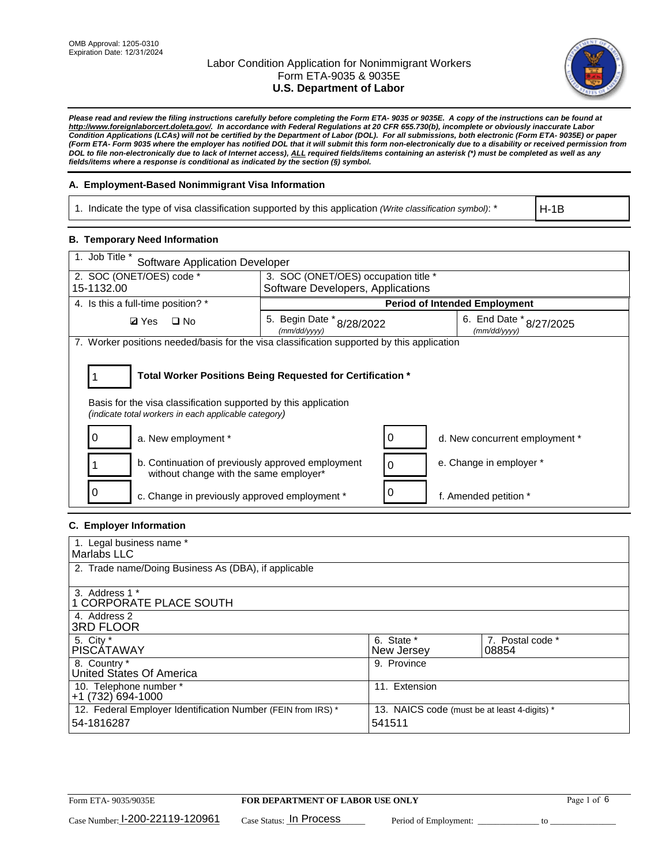

*Please read and review the filing instructions carefully before completing the Form ETA- 9035 or 9035E. A copy of the instructions can be found at http://www.foreignlaborcert.doleta.gov/. In accordance with Federal Regulations at 20 CFR 655.730(b), incomplete or obviously inaccurate Labor Condition Applications (LCAs) will not be certified by the Department of Labor (DOL). For all submissions, both electronic (Form ETA- 9035E) or paper (Form ETA- Form 9035 where the employer has notified DOL that it will submit this form non-electronically due to a disability or received permission from DOL to file non-electronically due to lack of Internet access), ALL required fields/items containing an asterisk (\*) must be completed as well as any fields/items where a response is conditional as indicated by the section (§) symbol.* 

### **A. Employment-Based Nonimmigrant Visa Information**

1. Indicate the type of visa classification supported by this application *(Write classification symbol)*: \*

H-1B

#### **B. Temporary Need Information**

| 1. Job Title *<br><b>Software Application Developer</b>                                                                                                                               |                                               |   |                                         |  |  |
|---------------------------------------------------------------------------------------------------------------------------------------------------------------------------------------|-----------------------------------------------|---|-----------------------------------------|--|--|
| 2. SOC (ONET/OES) code *                                                                                                                                                              | 3. SOC (ONET/OES) occupation title *          |   |                                         |  |  |
| 15-1132.00                                                                                                                                                                            | Software Developers, Applications             |   |                                         |  |  |
| 4. Is this a full-time position? *                                                                                                                                                    |                                               |   | <b>Period of Intended Employment</b>    |  |  |
| $\Box$ No<br><b>Ø</b> Yes                                                                                                                                                             | 5. Begin Date $*_{8/28/2022}$<br>(mm/dd/yyyy) |   | 6. End Date * 8/27/2025<br>(mm/dd/yyyy) |  |  |
| 7. Worker positions needed/basis for the visa classification supported by this application                                                                                            |                                               |   |                                         |  |  |
| Total Worker Positions Being Requested for Certification *<br>Basis for the visa classification supported by this application<br>(indicate total workers in each applicable category) |                                               |   |                                         |  |  |
| a. New employment *                                                                                                                                                                   |                                               | 0 | d. New concurrent employment *          |  |  |
| b. Continuation of previously approved employment<br>without change with the same employer*                                                                                           |                                               | 0 | e. Change in employer *                 |  |  |
| c. Change in previously approved employment *                                                                                                                                         |                                               |   | f. Amended petition *                   |  |  |

### **C. Employer Information**

| 1. Legal business name *                                     |                                              |                  |
|--------------------------------------------------------------|----------------------------------------------|------------------|
| Marlabs LLC                                                  |                                              |                  |
| 2. Trade name/Doing Business As (DBA), if applicable         |                                              |                  |
|                                                              |                                              |                  |
| 3. Address 1 *                                               |                                              |                  |
| 1 CORPORATE PLACE SOUTH                                      |                                              |                  |
| 4. Address 2                                                 |                                              |                  |
| <b>3RD FLOOR</b>                                             |                                              |                  |
| 5. City *                                                    | 6. State *                                   | 7. Postal code * |
| PISCÁTAWAY                                                   | New Jersey                                   | 08854            |
| 8. Country *                                                 | 9. Province                                  |                  |
| United States Of America                                     |                                              |                  |
| 10. Telephone number *                                       | 11. Extension                                |                  |
| $+1(732)694-1000$                                            |                                              |                  |
| 12. Federal Employer Identification Number (FEIN from IRS) * | 13. NAICS code (must be at least 4-digits) * |                  |
| 54-1816287                                                   | 541511                                       |                  |
|                                                              |                                              |                  |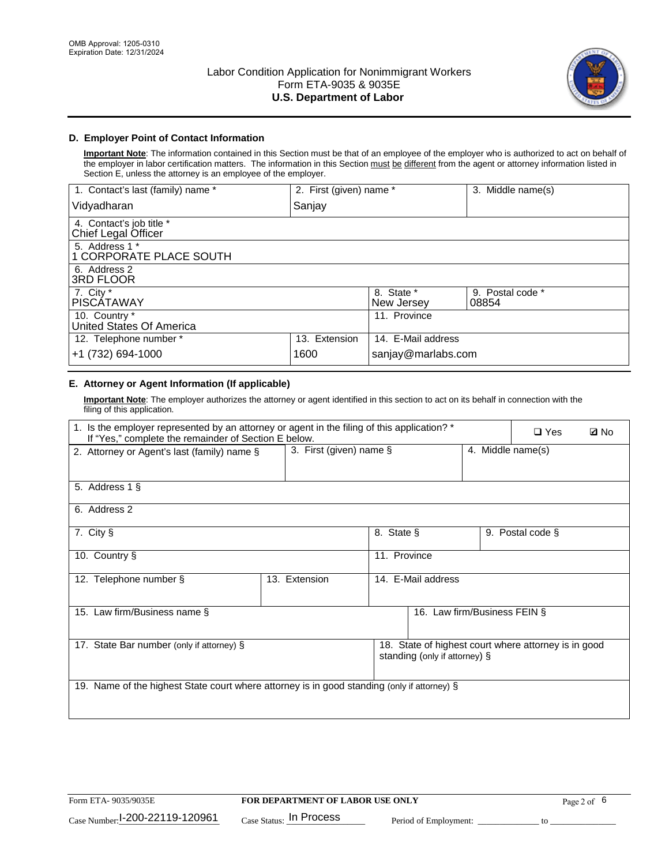

## **D. Employer Point of Contact Information**

**Important Note**: The information contained in this Section must be that of an employee of the employer who is authorized to act on behalf of the employer in labor certification matters. The information in this Section must be different from the agent or attorney information listed in Section E, unless the attorney is an employee of the employer.

| 1. Contact's last (family) name *               | 2. First (given) name * |                          | 3. Middle name(s)         |
|-------------------------------------------------|-------------------------|--------------------------|---------------------------|
| Vidyadharan                                     | Sanjay                  |                          |                           |
| 4. Contact's job title *<br>Chief Legal Officer |                         |                          |                           |
| 5. Address 1 *<br>1 CORPORATE PLACE SOUTH       |                         |                          |                           |
| 6. Address 2<br>3RD FLOOR                       |                         |                          |                           |
| 7. City $*$<br><b>PISCÁTAWAY</b>                |                         | 8. State *<br>New Jersey | 9. Postal code *<br>08854 |
| 10. Country *<br>United States Of America       |                         | 11. Province             |                           |
| 12. Telephone number *                          | 13. Extension           | 14. E-Mail address       |                           |
| +1 (732) 694-1000                               | 1600                    | sanjay@marlabs.com       |                           |

## **E. Attorney or Agent Information (If applicable)**

**Important Note**: The employer authorizes the attorney or agent identified in this section to act on its behalf in connection with the filing of this application.

| 1. Is the employer represented by an attorney or agent in the filing of this application? *<br>If "Yes," complete the remainder of Section E below. |                            |              |                               | $\Box$ Yes        | <b>Ø</b> No                                          |  |
|-----------------------------------------------------------------------------------------------------------------------------------------------------|----------------------------|--------------|-------------------------------|-------------------|------------------------------------------------------|--|
| 2. Attorney or Agent's last (family) name §                                                                                                         | 3. First (given) name $\S$ |              |                               | 4. Middle name(s) |                                                      |  |
| 5. Address 1 §                                                                                                                                      |                            |              |                               |                   |                                                      |  |
| 6. Address 2                                                                                                                                        |                            |              |                               |                   |                                                      |  |
| 7. City §                                                                                                                                           |                            | 8. State §   |                               |                   | 9. Postal code §                                     |  |
| 10. Country §                                                                                                                                       |                            | 11. Province |                               |                   |                                                      |  |
| 12. Telephone number §                                                                                                                              | 13. Extension              |              | 14. E-Mail address            |                   |                                                      |  |
| 15. Law firm/Business name §                                                                                                                        |                            |              | 16. Law firm/Business FEIN §  |                   |                                                      |  |
| 17. State Bar number (only if attorney) §                                                                                                           |                            |              | standing (only if attorney) § |                   | 18. State of highest court where attorney is in good |  |
| 19. Name of the highest State court where attorney is in good standing (only if attorney) §                                                         |                            |              |                               |                   |                                                      |  |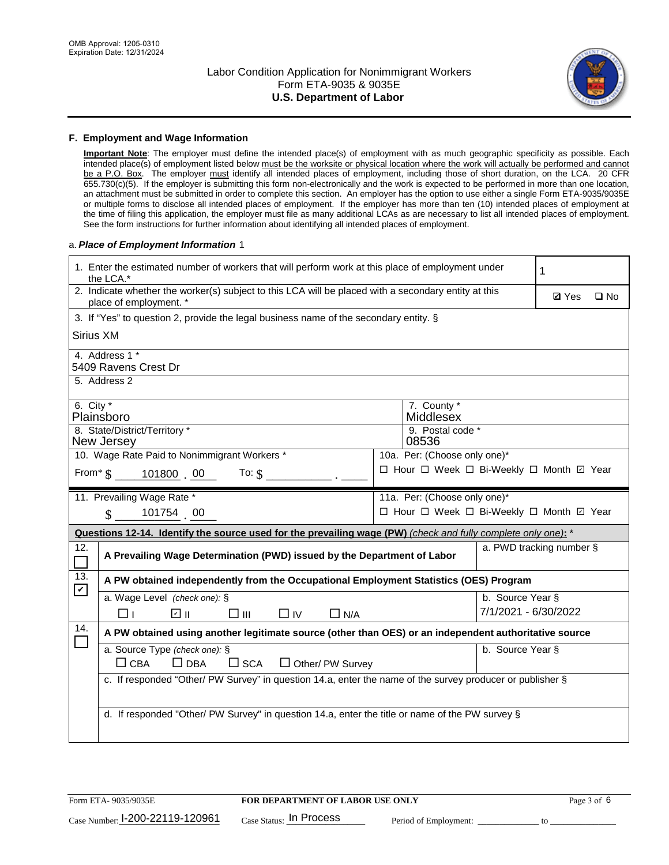

#### **F. Employment and Wage Information**

**Important Note**: The employer must define the intended place(s) of employment with as much geographic specificity as possible. Each intended place(s) of employment listed below must be the worksite or physical location where the work will actually be performed and cannot be a P.O. Box. The employer must identify all intended places of employment, including those of short duration, on the LCA. 20 CFR 655.730(c)(5). If the employer is submitting this form non-electronically and the work is expected to be performed in more than one location, an attachment must be submitted in order to complete this section. An employer has the option to use either a single Form ETA-9035/9035E or multiple forms to disclose all intended places of employment. If the employer has more than ten (10) intended places of employment at the time of filing this application, the employer must file as many additional LCAs as are necessary to list all intended places of employment. See the form instructions for further information about identifying all intended places of employment.

#### a.*Place of Employment Information* 1

|                                                                               | 1. Enter the estimated number of workers that will perform work at this place of employment under<br>the LCA.*                 |  |                                          |                      |              |              |
|-------------------------------------------------------------------------------|--------------------------------------------------------------------------------------------------------------------------------|--|------------------------------------------|----------------------|--------------|--------------|
|                                                                               | 2. Indicate whether the worker(s) subject to this LCA will be placed with a secondary entity at this<br>place of employment. * |  |                                          |                      | <b>Ø</b> Yes | $\square$ No |
|                                                                               | 3. If "Yes" to question 2, provide the legal business name of the secondary entity. §                                          |  |                                          |                      |              |              |
| Sirius XM                                                                     |                                                                                                                                |  |                                          |                      |              |              |
|                                                                               | 4. Address 1 *<br>5409 Ravens Crest Dr                                                                                         |  |                                          |                      |              |              |
|                                                                               | 5. Address 2                                                                                                                   |  |                                          |                      |              |              |
| 6. City $*$                                                                   | Plainsboro                                                                                                                     |  | 7. County *<br>Middlesex                 |                      |              |              |
|                                                                               | 8. State/District/Territory *<br>New Jersey                                                                                    |  | 9. Postal code *<br>08536                |                      |              |              |
|                                                                               | 10. Wage Rate Paid to Nonimmigrant Workers *                                                                                   |  | 10a. Per: (Choose only one)*             |                      |              |              |
| □ Hour □ Week □ Bi-Weekly □ Month □ Year<br>From* $\$\,$ 101800 00 To: $\$\,$ |                                                                                                                                |  |                                          |                      |              |              |
|                                                                               | 11. Prevailing Wage Rate *<br>11a. Per: (Choose only one)*                                                                     |  |                                          |                      |              |              |
|                                                                               | 101754 00<br>$\mathbf S$                                                                                                       |  | □ Hour □ Week □ Bi-Weekly □ Month ☑ Year |                      |              |              |
|                                                                               | Questions 12-14. Identify the source used for the prevailing wage (PW) (check and fully complete only one): *                  |  |                                          |                      |              |              |
| 12.<br>$\Box$                                                                 | a. PWD tracking number §<br>A Prevailing Wage Determination (PWD) issued by the Department of Labor                            |  |                                          |                      |              |              |
| 13.<br>$\boldsymbol{\mathcal{V}}$                                             | A PW obtained independently from the Occupational Employment Statistics (OES) Program                                          |  |                                          |                      |              |              |
|                                                                               | a. Wage Level (check one): §                                                                                                   |  |                                          | b. Source Year §     |              |              |
|                                                                               | பெ<br>$\square$ $\square$<br>□⊥<br>$\Box$ IV<br>$\Box$ N/A                                                                     |  |                                          | 7/1/2021 - 6/30/2022 |              |              |
| 14.                                                                           | A PW obtained using another legitimate source (other than OES) or an independent authoritative source                          |  |                                          |                      |              |              |
|                                                                               | a. Source Type (check one): §<br>$\Box$ CBA<br>$\Box$ DBA<br>$\square$ SCA<br>$\Box$ Other/ PW Survey                          |  |                                          | b. Source Year §     |              |              |
|                                                                               | c. If responded "Other/ PW Survey" in question 14.a, enter the name of the survey producer or publisher §                      |  |                                          |                      |              |              |
|                                                                               | d. If responded "Other/ PW Survey" in question 14.a, enter the title or name of the PW survey §                                |  |                                          |                      |              |              |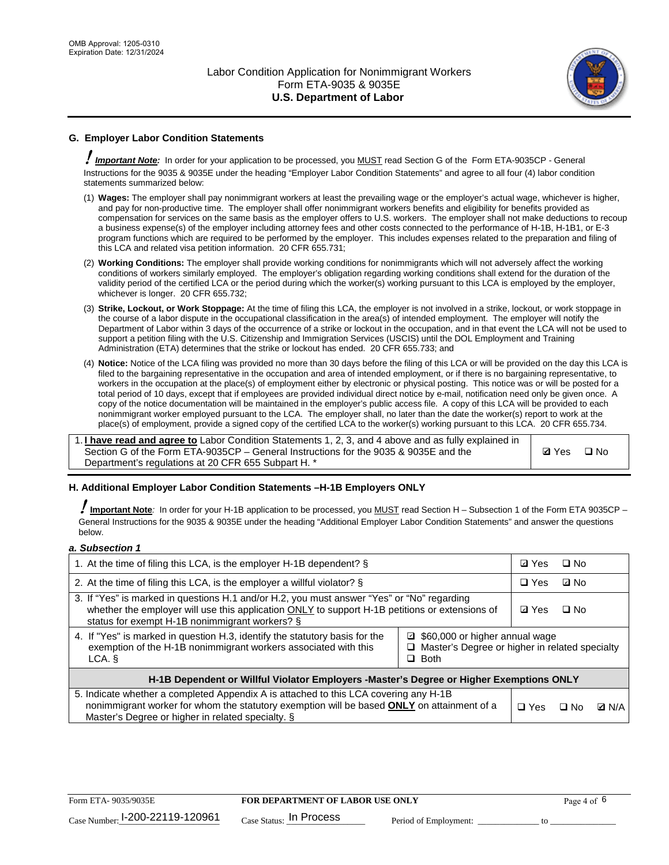

## **G. Employer Labor Condition Statements**

! *Important Note:* In order for your application to be processed, you MUST read Section G of the Form ETA-9035CP - General Instructions for the 9035 & 9035E under the heading "Employer Labor Condition Statements" and agree to all four (4) labor condition statements summarized below:

- (1) **Wages:** The employer shall pay nonimmigrant workers at least the prevailing wage or the employer's actual wage, whichever is higher, and pay for non-productive time. The employer shall offer nonimmigrant workers benefits and eligibility for benefits provided as compensation for services on the same basis as the employer offers to U.S. workers. The employer shall not make deductions to recoup a business expense(s) of the employer including attorney fees and other costs connected to the performance of H-1B, H-1B1, or E-3 program functions which are required to be performed by the employer. This includes expenses related to the preparation and filing of this LCA and related visa petition information. 20 CFR 655.731;
- (2) **Working Conditions:** The employer shall provide working conditions for nonimmigrants which will not adversely affect the working conditions of workers similarly employed. The employer's obligation regarding working conditions shall extend for the duration of the validity period of the certified LCA or the period during which the worker(s) working pursuant to this LCA is employed by the employer, whichever is longer. 20 CFR 655.732;
- (3) **Strike, Lockout, or Work Stoppage:** At the time of filing this LCA, the employer is not involved in a strike, lockout, or work stoppage in the course of a labor dispute in the occupational classification in the area(s) of intended employment. The employer will notify the Department of Labor within 3 days of the occurrence of a strike or lockout in the occupation, and in that event the LCA will not be used to support a petition filing with the U.S. Citizenship and Immigration Services (USCIS) until the DOL Employment and Training Administration (ETA) determines that the strike or lockout has ended. 20 CFR 655.733; and
- (4) **Notice:** Notice of the LCA filing was provided no more than 30 days before the filing of this LCA or will be provided on the day this LCA is filed to the bargaining representative in the occupation and area of intended employment, or if there is no bargaining representative, to workers in the occupation at the place(s) of employment either by electronic or physical posting. This notice was or will be posted for a total period of 10 days, except that if employees are provided individual direct notice by e-mail, notification need only be given once. A copy of the notice documentation will be maintained in the employer's public access file. A copy of this LCA will be provided to each nonimmigrant worker employed pursuant to the LCA. The employer shall, no later than the date the worker(s) report to work at the place(s) of employment, provide a signed copy of the certified LCA to the worker(s) working pursuant to this LCA. 20 CFR 655.734.

1. **I have read and agree to** Labor Condition Statements 1, 2, 3, and 4 above and as fully explained in Section G of the Form ETA-9035CP – General Instructions for the 9035 & 9035E and the Department's regulations at 20 CFR 655 Subpart H. \*

**Ø**Yes ロNo

#### **H. Additional Employer Labor Condition Statements –H-1B Employers ONLY**

!**Important Note***:* In order for your H-1B application to be processed, you MUST read Section H – Subsection 1 of the Form ETA 9035CP – General Instructions for the 9035 & 9035E under the heading "Additional Employer Labor Condition Statements" and answer the questions below.

#### *a. Subsection 1*

| 1. At the time of filing this LCA, is the employer H-1B dependent? §                                                                                                                                                                                          |  | ⊡ Yes | $\square$ No |              |
|---------------------------------------------------------------------------------------------------------------------------------------------------------------------------------------------------------------------------------------------------------------|--|-------|--------------|--------------|
| 2. At the time of filing this LCA, is the employer a willful violator? $\S$                                                                                                                                                                                   |  |       | ⊡ No         |              |
| 3. If "Yes" is marked in questions H.1 and/or H.2, you must answer "Yes" or "No" regarding<br>whether the employer will use this application ONLY to support H-1B petitions or extensions of<br>status for exempt H-1B nonimmigrant workers? §                |  |       | $\Box$ No    |              |
| 4. If "Yes" is marked in question H.3, identify the statutory basis for the<br>■ \$60,000 or higher annual wage<br>exemption of the H-1B nonimmigrant workers associated with this<br>□ Master's Degree or higher in related specialty<br>$\Box$ Both<br>LCA. |  |       |              |              |
| H-1B Dependent or Willful Violator Employers -Master's Degree or Higher Exemptions ONLY                                                                                                                                                                       |  |       |              |              |
| 5. Indicate whether a completed Appendix A is attached to this LCA covering any H-1B<br>nonimmigrant worker for whom the statutory exemption will be based <b>ONLY</b> on attainment of a<br>Master's Degree or higher in related specialty. §                |  |       | ⊡ No         | <b>D</b> N/A |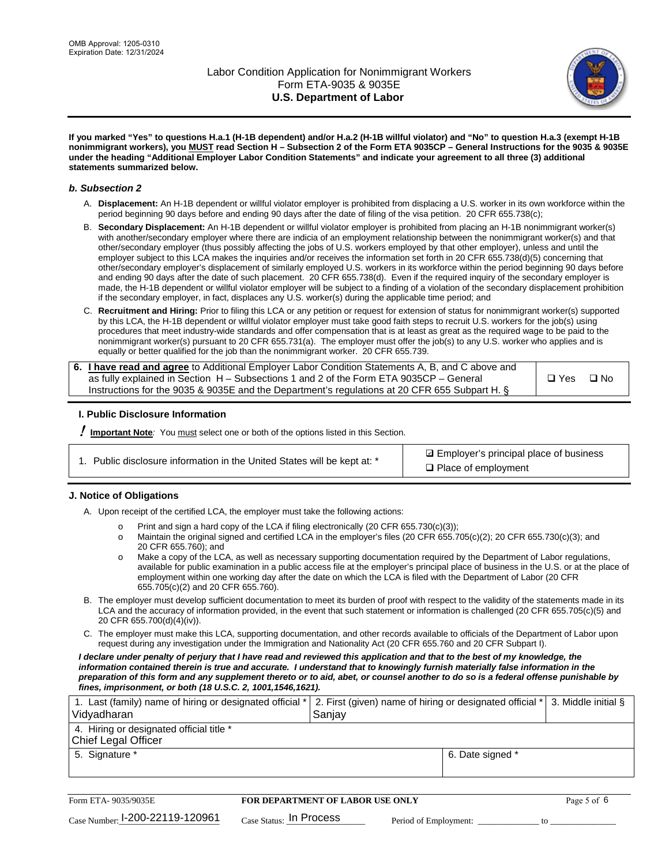

**If you marked "Yes" to questions H.a.1 (H-1B dependent) and/or H.a.2 (H-1B willful violator) and "No" to question H.a.3 (exempt H-1B nonimmigrant workers), you MUST read Section H – Subsection 2 of the Form ETA 9035CP – General Instructions for the 9035 & 9035E under the heading "Additional Employer Labor Condition Statements" and indicate your agreement to all three (3) additional statements summarized below.**

#### *b. Subsection 2*

- A. **Displacement:** An H-1B dependent or willful violator employer is prohibited from displacing a U.S. worker in its own workforce within the period beginning 90 days before and ending 90 days after the date of filing of the visa petition. 20 CFR 655.738(c);
- B. **Secondary Displacement:** An H-1B dependent or willful violator employer is prohibited from placing an H-1B nonimmigrant worker(s) with another/secondary employer where there are indicia of an employment relationship between the nonimmigrant worker(s) and that other/secondary employer (thus possibly affecting the jobs of U.S. workers employed by that other employer), unless and until the employer subject to this LCA makes the inquiries and/or receives the information set forth in 20 CFR 655.738(d)(5) concerning that other/secondary employer's displacement of similarly employed U.S. workers in its workforce within the period beginning 90 days before and ending 90 days after the date of such placement. 20 CFR 655.738(d). Even if the required inquiry of the secondary employer is made, the H-1B dependent or willful violator employer will be subject to a finding of a violation of the secondary displacement prohibition if the secondary employer, in fact, displaces any U.S. worker(s) during the applicable time period; and
- C. **Recruitment and Hiring:** Prior to filing this LCA or any petition or request for extension of status for nonimmigrant worker(s) supported by this LCA, the H-1B dependent or willful violator employer must take good faith steps to recruit U.S. workers for the job(s) using procedures that meet industry-wide standards and offer compensation that is at least as great as the required wage to be paid to the nonimmigrant worker(s) pursuant to 20 CFR 655.731(a). The employer must offer the job(s) to any U.S. worker who applies and is equally or better qualified for the job than the nonimmigrant worker. 20 CFR 655.739.

| 6. I have read and agree to Additional Employer Labor Condition Statements A, B, and C above and |       |           |
|--------------------------------------------------------------------------------------------------|-------|-----------|
| as fully explained in Section H – Subsections 1 and 2 of the Form ETA 9035CP – General           | □ Yes | $\Box$ No |
| Instructions for the 9035 & 9035E and the Department's regulations at 20 CFR 655 Subpart H. §    |       |           |

#### **I. Public Disclosure Information**

! **Important Note***:* You must select one or both of the options listed in this Section.

| 1. Public disclosure information in the United States will be kept at: * |  |  |  |  |  |  |  |
|--------------------------------------------------------------------------|--|--|--|--|--|--|--|
|--------------------------------------------------------------------------|--|--|--|--|--|--|--|

**sqrt** Employer's principal place of business □ Place of employment

#### **J. Notice of Obligations**

A. Upon receipt of the certified LCA, the employer must take the following actions:

- o Print and sign a hard copy of the LCA if filing electronically (20 CFR 655.730(c)(3));<br>
Maintain the original signed and certified LCA in the employer's files (20 CFR 655.7
- Maintain the original signed and certified LCA in the employer's files (20 CFR 655.705(c)(2); 20 CFR 655.730(c)(3); and 20 CFR 655.760); and
- o Make a copy of the LCA, as well as necessary supporting documentation required by the Department of Labor regulations, available for public examination in a public access file at the employer's principal place of business in the U.S. or at the place of employment within one working day after the date on which the LCA is filed with the Department of Labor (20 CFR 655.705(c)(2) and 20 CFR 655.760).
- B. The employer must develop sufficient documentation to meet its burden of proof with respect to the validity of the statements made in its LCA and the accuracy of information provided, in the event that such statement or information is challenged (20 CFR 655.705(c)(5) and 20 CFR 655.700(d)(4)(iv)).
- C. The employer must make this LCA, supporting documentation, and other records available to officials of the Department of Labor upon request during any investigation under the Immigration and Nationality Act (20 CFR 655.760 and 20 CFR Subpart I).

*I declare under penalty of perjury that I have read and reviewed this application and that to the best of my knowledge, the*  information contained therein is true and accurate. I understand that to knowingly furnish materially false information in the *preparation of this form and any supplement thereto or to aid, abet, or counsel another to do so is a federal offense punishable by fines, imprisonment, or both (18 U.S.C. 2, 1001,1546,1621).*

| 1. Last (family) name of hiring or designated official *   2. First (given) name of hiring or designated official *   3. Middle initial §<br>Vidyadharan | Saniav           |  |
|----------------------------------------------------------------------------------------------------------------------------------------------------------|------------------|--|
| 4. Hiring or designated official title *<br>Chief Legal Officer                                                                                          |                  |  |
| 5. Signature *                                                                                                                                           | 6. Date signed * |  |

| Form ETA-9035/9035E             | <b>FOR DEPARTMENT OF LABOR USE ONLY</b> |                       | Page 5 of 6 |
|---------------------------------|-----------------------------------------|-----------------------|-------------|
| Case Number: 1-200-22119-120961 | $_{\text{Case Status:}}$ In Process     | Period of Employment: |             |